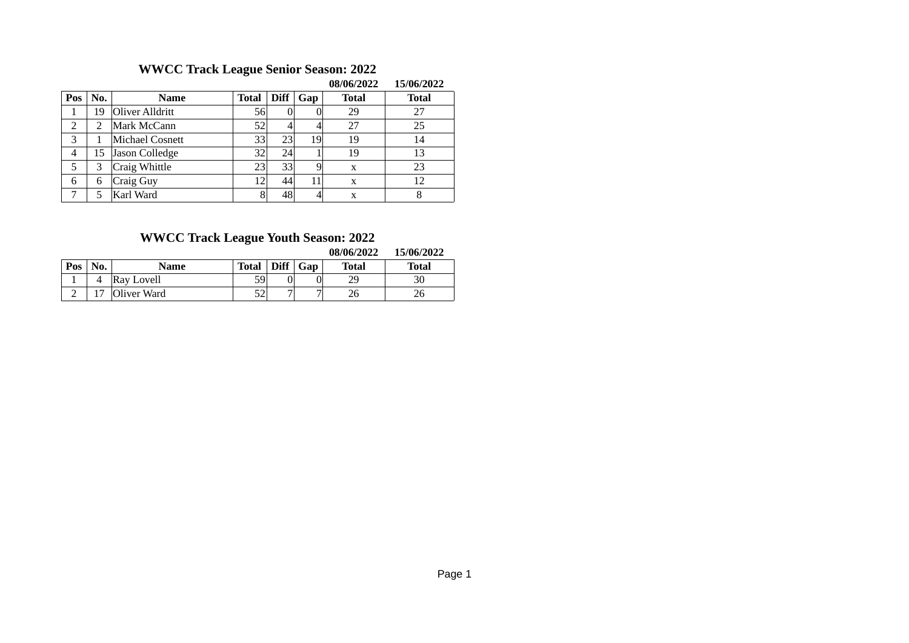# **WWCC Track League Senior Season: 2022**

|     |     |                 |                 |             |     | <u>00/00/2022</u> | 1J/VV/4V44   |
|-----|-----|-----------------|-----------------|-------------|-----|-------------------|--------------|
| Pos | No. | <b>Name</b>     | <b>Total</b>    | <b>Diff</b> | Gap | <b>Total</b>      | <b>Total</b> |
|     | 19  | Oliver Alldritt | 56              |             |     | 29                | 27           |
| 2   |     | Mark McCann     | 52              |             |     | 27                | 25           |
| 3   |     | Michael Cosnett | $33$            | 23          | 19  | 19                | 14           |
| 4   | 15  | Jason Colledge  | 32 <sup>2</sup> | 24          |     | 19                | 13           |
| 5   | 3   | Craig Whittle   | 23 <sup>l</sup> | 33          | 9   | X                 | 23           |
| 6   | 6   | Craig Guy       | 12 <sup>1</sup> | 44          | 11  | X                 | 12           |
|     |     | Karl Ward       | 8               | 48          |     | X                 | 8            |

#### **08/06/2022 15/06/2022**

# **WWCC Track League Youth Season: 2022**

**08/06/2022 15/06/2022**

| Pos | No. | Name        | Total $\vert$ Diff $\vert$ Gap |  | <b>Total</b> | Total |
|-----|-----|-------------|--------------------------------|--|--------------|-------|
|     |     | Ray Lovell  | 59                             |  | 29           | 30    |
|     |     | Oliver Ward | 52                             |  | 26           | 26    |